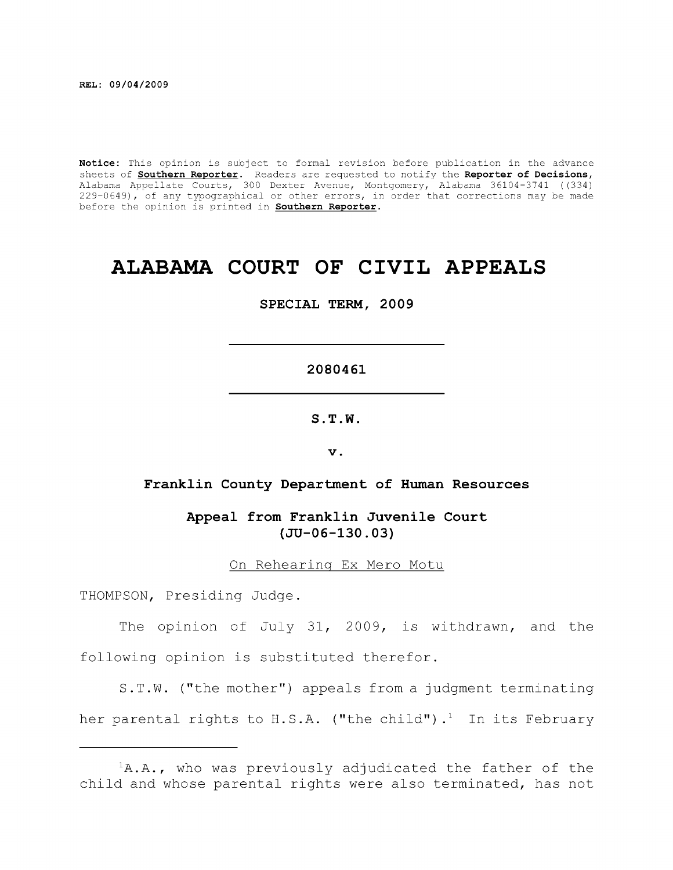**Notice:** This opinion is subject to formal revision before publication in the advance sheets of **Southern Reporter**. Readers are requested to notify the **Reporter of Decisions,**  Alabama Appellate Courts, 300 Dexter Avenue, Montgomery, Alabama 36104-3741 ((334) 229-0649), of any typographical or other errors, in order that corrections may be made before the opinion is printed in **Southern Reporter.** 

# **ALABAMA COURT OF CIVIL APPEALS**

**SPECIAL TERM, 2009** 

#### **2080461**

**S.T.W.** 

**V .** 

# Franklin County Department of Human Resources

**Appeal from Franklin Juvenile Court (JU-06-130.03)** 

On Rehearing Ex Mero Motu

THOMPSON, Presiding Judge.

The opinion of July 31, 2009, is withdrawn, and the following opinion is substituted therefor.

S.T.W. ("the mother") appeals from a judgment terminating her parental rights to H.S.A. ("the child").<sup>1</sup> In its February

 ${}^{1}$ A.A., who was previously adjudicated the father of the child and whose parental rights were also terminated, has not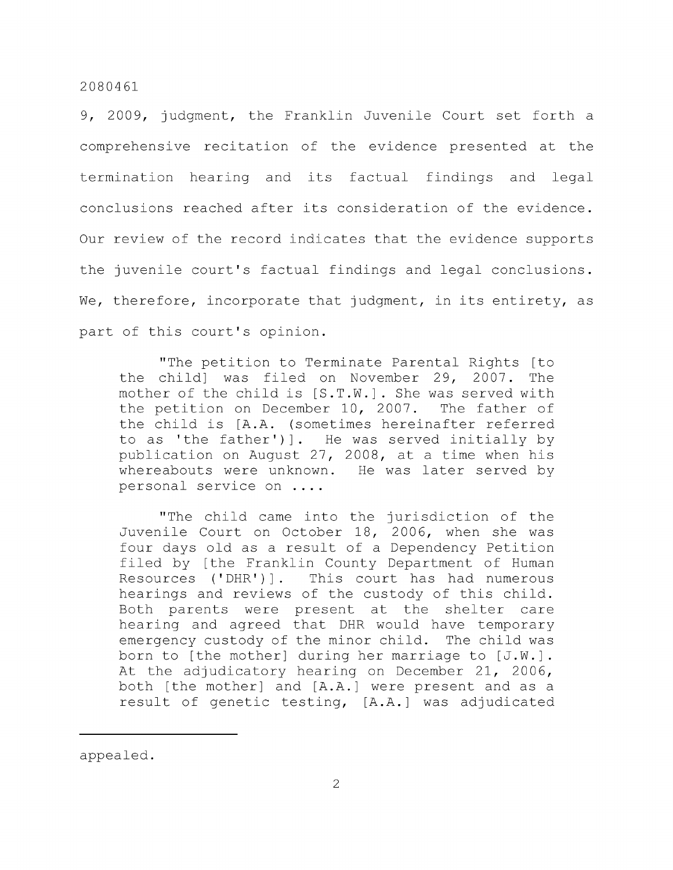9, 2009, judgment, the Franklin Juvenile Court set forth a comprehensive recitation of the evidence presented at the termination hearing and its factual findings and legal conclusions reached after its consideration of the evidence. Our review of the record indicates that the evidence supports the juvenile court's factual findings and legal conclusions. We, therefore, incorporate that judgment, in its entirety, as part of this court's opinion.

"The petition to Terminate Parental Rights [to the child] was filed on November 29, 2007. The mother of the child is [S.T.W.]. She was served with the petition on December 10, 2007. The father of the child is [A.A. (sometimes hereinafter referred to as 'the father')]. He was served initially by publication on August 27, 2008, at a time when his whereabouts were unknown. He was later served by personal service on ....

"The child came into the jurisdiction of the Juvenile Court on October 18, 2006, when she was four days old as a result of a Dependency Petition filed by [the Franklin County Department of Human Resources ('DHR')]. This court has had numerous hearings and reviews of the custody of this child. Both parents were present at the shelter care hearing and agreed that DHR would have temporary emergency custody of the minor child. The child was born to [the mother] during her marriage to [J.W.]. At the adjudicatory hearing on December 21, 2006, both [the mother] and [A.A.] were present and as a result of genetic testing, [A.A.] was adjudicated

appealed.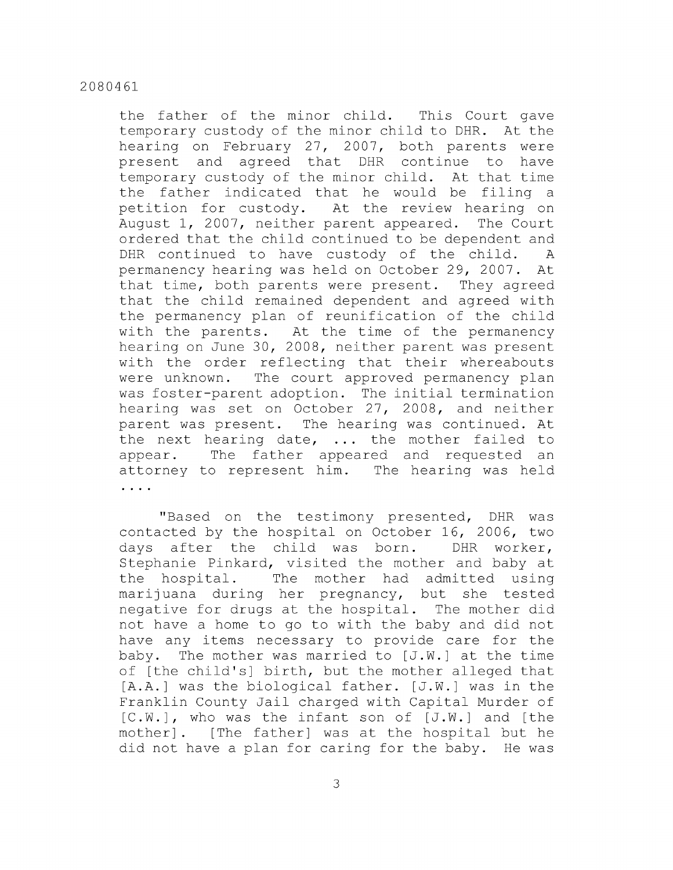the father of the minor child. This Court gave temporary custody of the minor child to DHR. At the hearing on February 27, 2007, both parents were present and agreed that DHR continue to have temporary custody of the minor child. At that time the father indicated that he would be filing a petition for custody. At the review hearing on August 1, 2007, neither parent appeared. The Court ordered that the child continued to be dependent and DHR continued to have custody of the child. A permanency hearing was held on October 29, 2007. At that time, both parents were present. They agreed that the child remained dependent and agreed with the permanency plan of reunification of the child with the parents. At the time of the permanency hearing on June 30, 2008, neither parent was present with the order reflecting that their whereabouts were unknown. The court approved permanency plan was foster-parent adoption. The initial termination hearing was set on October 27, 2008, and neither parent was present. The hearing was continued. At the next hearing date, ... the mother failed to appear. The father appeared and requested an attorney to represent him. The hearing was held . . . .

"Based on the testimony presented, DHR was contacted by the hospital on October 16, 2006, two days after the child was born. DHR worker, Stephanie Pinkard, visited the mother and baby at the hospital. The mother had admitted using marijuana during her pregnancy, but she tested negative for drugs at the hospital. The mother did not have a home to go to with the baby and did not have any items necessary to provide care for the baby. The mother was married to [J.W.] at the time of [the child's] birth, but the mother alleged that [A.A.] was the biological father. [J.W.] was in the Franklin County Jail charged with Capital Murder of  $[C.W.]$ , who was the infant son of  $[J.W.]$  and [the mother] . [The father] was at the hospital but he did not have a plan for caring for the baby. He was

3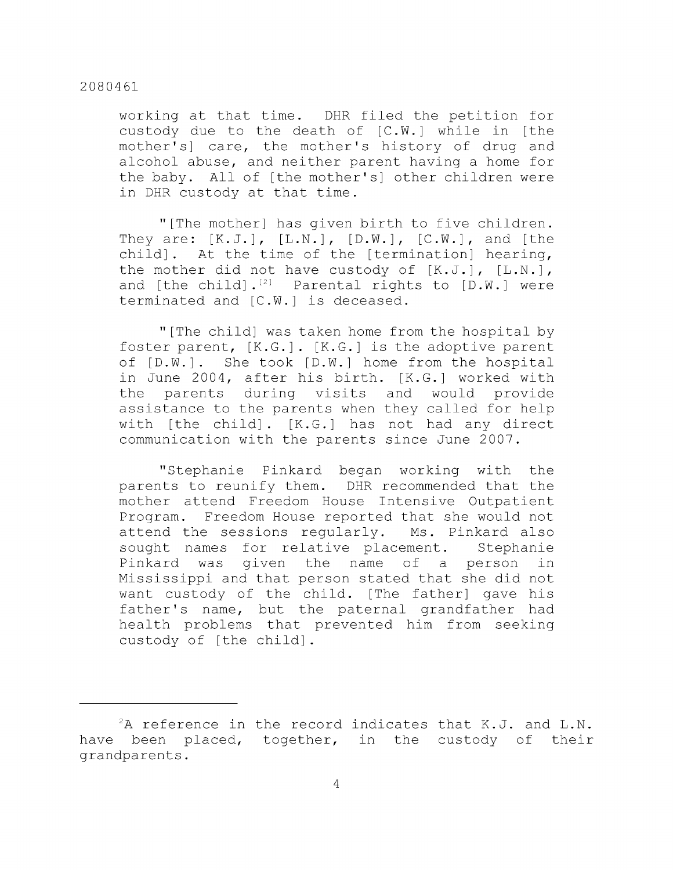working at that time. DHR filed the petition for custody due to the death of [C.W.] while in [the mother's] care, the mother's history of drug and alcohol abuse, and neither parent having a home for the baby. All of [the mother's] other children were in DHR custody at that time.

"[The mother] has given birth to five children. They are:  $[K.J.]$ ,  $[L.N.]$ ,  $[D.W.]$ ,  $[C.W.]$ , and  $[the]$ child] . At the time of the [termination] hearing, the mother did not have custody of  $[K.J.]$ ,  $[L.N.]$ , and  $[the child] .<sup>[2]</sup> \quad \text{Parental rights to } [D.W.] \quad \text{were}$ terminated and [C.W.] is deceased.

"[The child] was taken home from the hospital by foster parent, [K.G.] . [K.G.] is the adoptive parent of  $[D.W.]$ . She took  $[D.W.]$  home from the hospital in June 2004, after his birth. [K.G.] worked with the parents during visits and would provide assistance to the parents when they called for help with [the child]. [K.G.] has not had any direct communication with the parents since June 2007.

"Stephanie Pinkard began working with the parents to reunify them. DHR recommended that the mother attend Freedom House Intensive Outpatient Program. Freedom House reported that she would not attend the sessions regularly. Ms. Pinkard also sought names for relative placement. Stephanie Pinkard was given the name of a person in Mississippi and that person stated that she did not want custody of the child. [The father] gave his father's name, but the paternal grandfather had health problems that prevented him from seeking custody of [the child].

 ${}^{2}$ A reference in the record indicates that K.J. and L.N. have been placed, together, in the custody of their grandparents.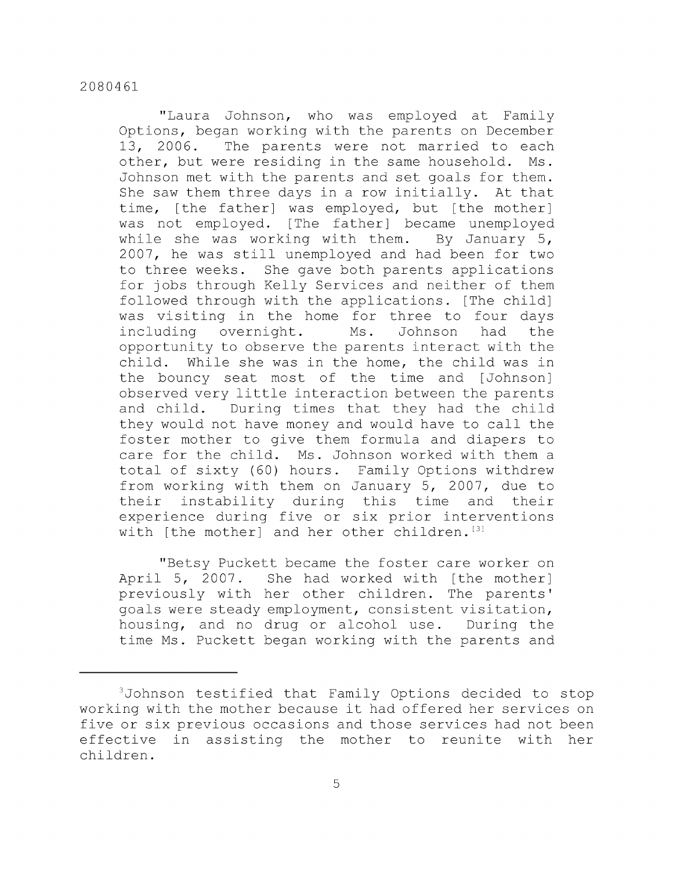"Laura Johnson, who was employed at Family Options, began working with the parents on December 13, 2006. The parents were not married to each other, but were residing in the same household. Ms. Johnson met with the parents and set goals for them. She saw them three days in a row initially. At that time, [the father] was employed, but [the mother] was not employed. [The father] became unemployed while she was working with them. By January 5, 2007, he was still unemployed and had been for two to three weeks. She gave both parents applications for jobs through Kelly Services and neither of them followed through with the applications. [The child] was visiting in the home for three to four days including overnight. Ms. Johnson had the opportunity to observe the parents interact with the child. While she was in the home, the child was in the bouncy seat most of the time and [Johnson] observed very little interaction between the parents and child. During times that they had the child they would not have money and would have to call the foster mother to give them formula and diapers to care for the child. Ms. Johnson worked with them a total of sixty (60) hours. Family Options withdrew from working with them on January 5, 2007, due to their instability during this time and their experience during five or six prior interventions with [the mother] and her other children.  $[3]$ 

"Betsy Puckett became the foster care worker on April 5, 2007. She had worked with [the mother] previously with her other children. The parents' goals were steady employment, consistent visitation, housing, and no drug or alcohol use. During the time Ms. Puckett began working with the parents and

<sup>^</sup>Johnson testified that Family Options decided to stop working with the mother because it had offered her services on five or six previous occasions and those services had not been effective in assisting the mother to reunite with her children.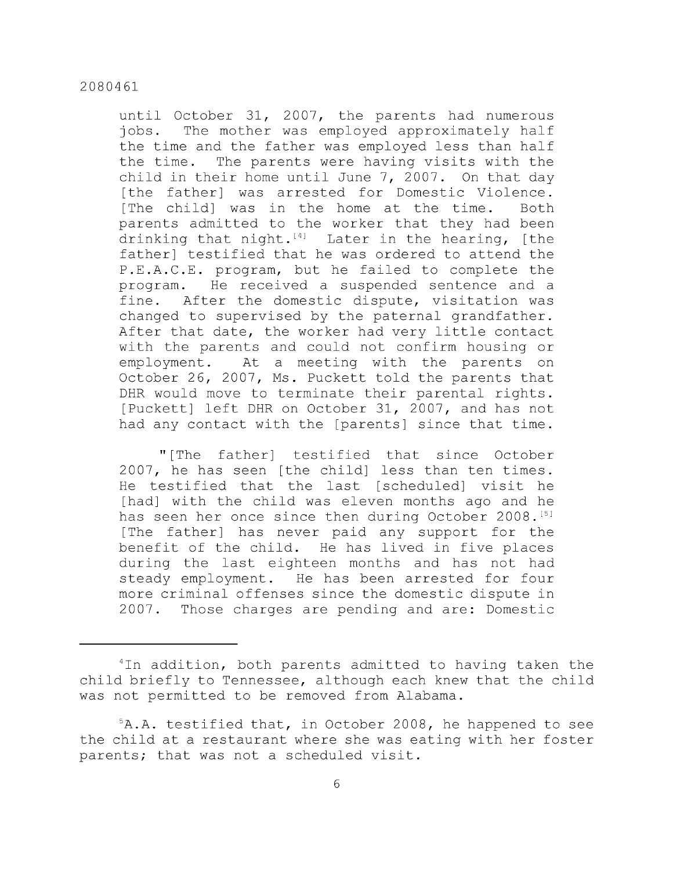until October 31, 2007, the parents had numerous jobs. The mother was employed approximately half the time and the father was employed less than half the time. The parents were having visits with the child in their home until June 7, 2007. On that day [the father] was arrested for Domestic Violence. [The child] was in the home at the time. Both parents admitted to the worker that they had been drinking that night. $^{[4]}$  Later in the hearing, [the father] testified that he was ordered to attend the P.E.A.C.E. program, but he failed to complete the program. He received a suspended sentence and a fine. After the domestic dispute, visitation was changed to supervised by the paternal grandfather. After that date, the worker had very little contact with the parents and could not confirm housing or employment. At a meeting with the parents on October 26, 2007, Ms. Puckett told the parents that DHR would move to terminate their parental rights. [Puckett] left DHR on October 31, 2007, and has not had any contact with the [parents] since that time.

" [The father] testified that since October 2007, he has seen [the child] less than ten times. He testified that the last [scheduled] visit he [had] with the child was eleven months ago and he has seen her once since then during October 2008.<sup>[5]</sup> [The father] has never paid any support for the benefit of the child. He has lived in five places during the last eighteen months and has not had steady employment. He has been arrested for four more criminal offenses since the domestic dispute in 2007. Those charges are pending and are: Domestic

 $4$ In addition, both parents admitted to having taken the child briefly to Tennessee, although each knew that the child was not permitted to be removed from Alabama.

 $5A.A.$  testified that, in October 2008, he happened to see the child at a restaurant where she was eating with her foster parents; that was not a scheduled visit.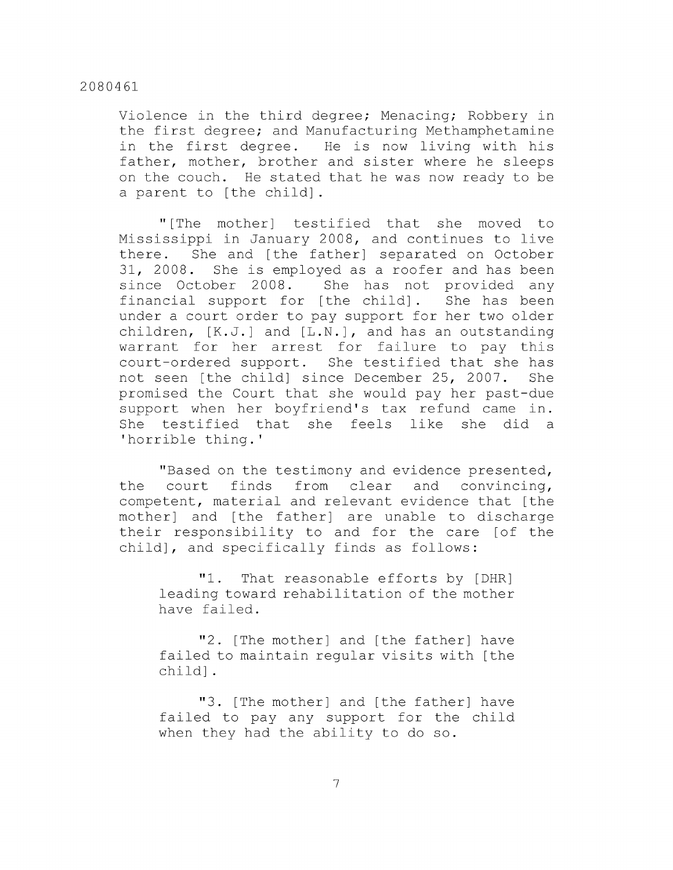Violence in the third degree; Menacing; Robbery in the first degree; and Manufacturing Methamphetamine in the first degree. He is now living with his father, mother, brother and sister where he sleeps on the couch. He stated that he was now ready to be a parent to [the child].

"[The mother] testified that she moved to Mississippi in January 2008, and continues to live there. She and [the father] separated on October 31, 2008. She is employed as a roofer and has been since October 2008. She has not provided any financial support for [the child] . She has been under a court order to pay support for her two older children, [K.J.] and [L.N.], and has an outstanding warrant for her arrest for failure to pay this court-ordered support. She testified that she has not seen [the child] since December 25, 2007. She promised the Court that she would pay her past-due support when her boyfriend's tax refund came in. She testified that she feels like she did a 'horrible thing.'

"Based on the testimony and evidence presented, the court finds from clear and convincing, competent, material and relevant evidence that [the mother] and [the father] are unable to discharge their responsibility to and for the care [of the child], and specifically finds as follows:

"1. That reasonable efforts by [DHR] leading toward rehabilitation of the mother have failed.

"2. [The mother] and [the father] have failed to maintain regular visits with [the child].

"3. [The mother] and [the father] have failed to pay any support for the child when they had the ability to do so.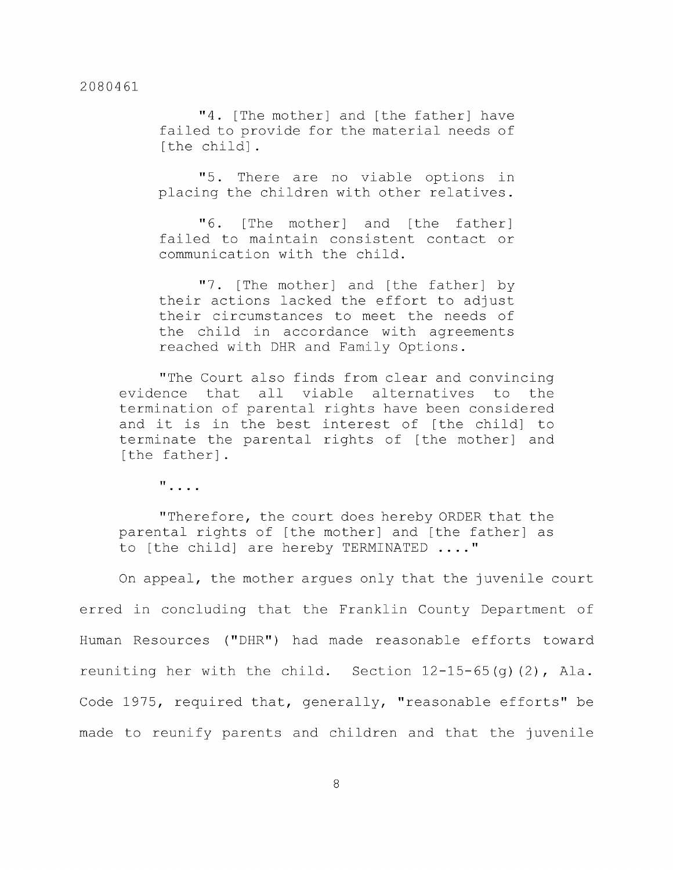"4. [The mother] and [the father] have failed to provide for the material needs of [the child].

"5. There are no viable options in placing the children with other relatives.

"6. [The mother] and [the father] failed to maintain consistent contact or communication with the child.

"7. [The mother] and [the father] by their actions lacked the effort to adjust their circumstances to meet the needs of the child in accordance with agreements reached with DHR and Family Options.

"The Court also finds from clear and convincing evidence that all viable alternatives to the termination of parental rights have been considered and it is in the best interest of [the child] to terminate the parental rights of [the mother] and [the father].

 $\mathbf{u}$ ,  $\mathbf{v}$ ,  $\mathbf{v}$ 

"Therefore, the court does hereby ORDER that the parental rights of [the mother] and [the father] as to [the child] are hereby TERMINATED ...."

On appeal, the mother argues only that the juvenile court erred in concluding that the Franklin County Department of Human Resources ("DHR") had made reasonable efforts toward reuniting her with the child. Section 12-15-65(g) (2), Ala. Code 1975, required that, generally, "reasonable efforts" be made to reunify parents and children and that the juvenile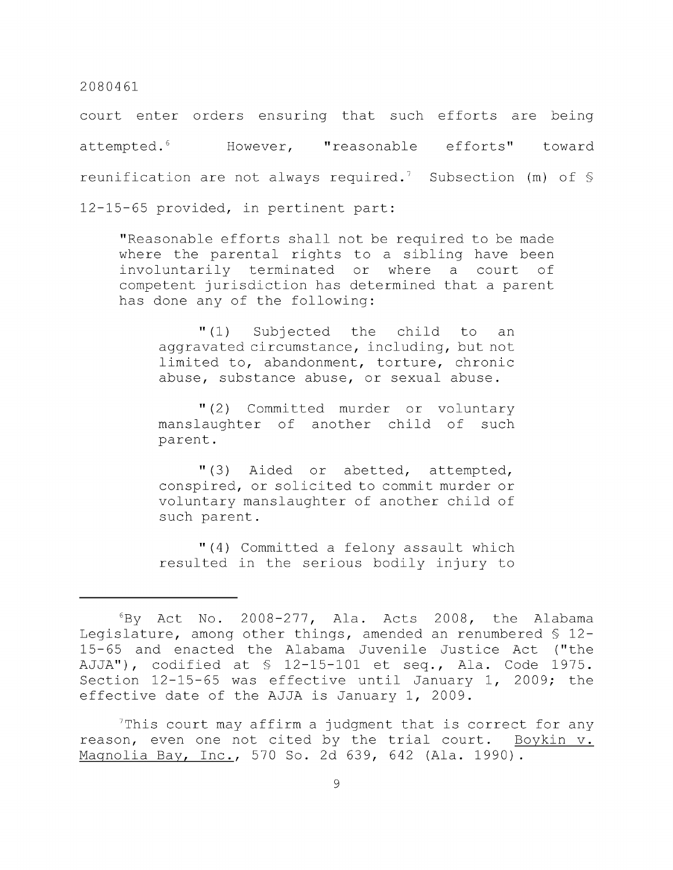court enter orders ensuring that such efforts are being attempted.<sup>6</sup> However, "reasonable efforts" toward reunification are not always required.<sup>7</sup> Subsection (m) of  $\mathcal S$ 12-15-65 provided, in pertinent part:

"Reasonable efforts shall not be required to be made where the parental rights to a sibling have been involuntarily terminated or where a court of competent jurisdiction has determined that a parent has done any of the following:

"(1) Subjected the child to an aggravated circumstance, including, but not limited to, abandonment, torture, chronic abuse, substance abuse, or sexual abuse.

"(2) Committed murder or voluntary manslaughter of another child of such parent.

"(3) Aided or abetted, attempted, conspired, or solicited to commit murder or voluntary manslaughter of another child of such parent.

"(4) Committed a felony assault which resulted in the serious bodily injury to

 $7$ This court may affirm a judgment that is correct for any reason, even one not cited by the trial court. Boykin v. Magnolia Bay, Inc., 570 So. 2d 639, 642 (Ala. 1990).

 $6$ By Act No. 2008-277, Ala. Acts 2008, the Alabama Legislature, among other things, amended an renumbered § 12- 15-65 and enacted the Alabama Juvenile Justice Act ("the AJJA"), codified at § 12-15-101 et seq., Ala. Code 1975. Section 12-15-65 was effective until January 1, 2009; the effective date of the AJJA is January 1, 2009.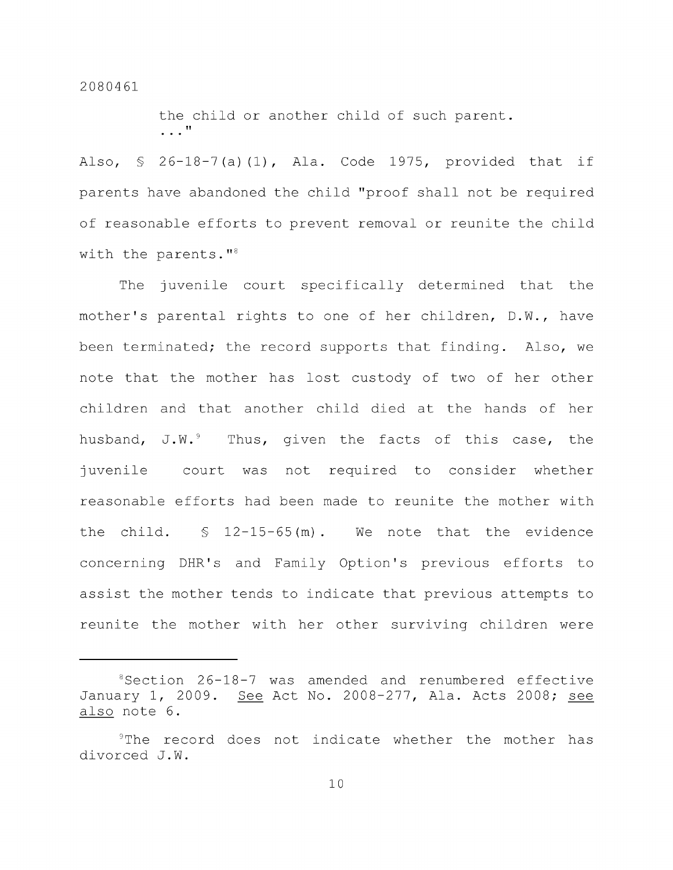the child or another child of such parent.  $\ldots$ <sup>n</sup>

Also,  $\frac{1}{2}$  26-18-7(a)(1), Ala. Code 1975, provided that if parents have abandoned the child "proof shall not be required of reasonable efforts to prevent removal or reunite the child with the parents."<sup>8</sup>

The juvenile court specifically determined that the mother's parental rights to one of her children, D.W., have been terminated; the record supports that finding. Also, we note that the mother has lost custody of two of her other children and that another child died at the hands of her husband,  $J.W.^9$  Thus, given the facts of this case, the juvenile court was not required to consider whether reasonable efforts had been made to reunite the mother with the child.  $\frac{12-15-65(m)}{m}$ . We note that the evidence concerning DHR's and Family Option's previous efforts to assist the mother tends to indicate that previous attempts to reunite the mother with her other surviving children were

<sup>^</sup>Section 26-18-7 was amended and renumbered effective January 1, 2009. See Act No. 2008-277, Ala. Acts 2008; see also note 6.

<sup>&</sup>lt;sup>9</sup>The record does not indicate whether the mother has divorced J.W.